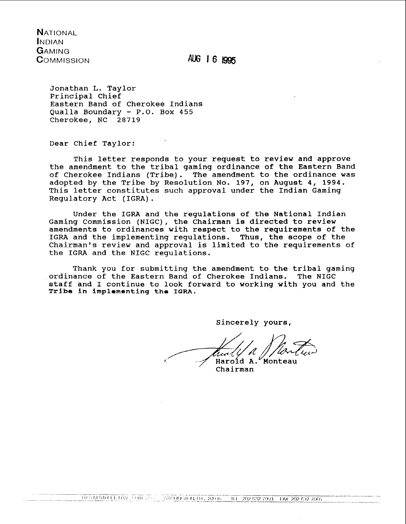**NATIONAL INDIAN GAMING** COMMISSION

AUG 16 1995

Jonathan L. Taylor Principal chief Eastern Band of Cherokee Indians Qualla Boundary - P.O. Box 455 Cherokee, NC 28719

Dear Chief Taylor:

This letter responds to your request to review and approve the amendment to the tribal gaming ordinance of the Eastern Band of Cherokee Indians (Tribe). The amendment to the ordinance was adopted by the Tribe by Resolution No. 197, on August 4, 1994. This letter constitutes such approval under the Indian Gaming Regulatory Act (IGRA).

Under the IGRA and the regulations of the National Indian Gaming Commission (NIGC), the Chairman is directed to review amendments to ordinances with respect to the requirements of the IGRA and the implementing regulations. Thus, the scope of the Chairman's review and approval is limited to the requirements of the IGRA and the NIGC regulations.

Thank you for submitting the amendment to the tribal gaming ordinance of the Eastern Band of Cherokee Indians. The NIGC staff and I continue to look forward to working with you and the Tribe in implementing the IGRA.

Sincerely yours,

Haroid A. Monteau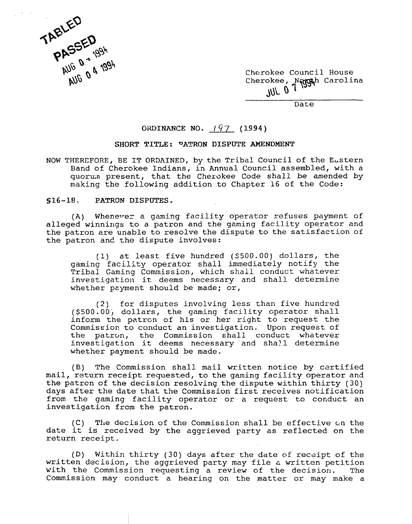

Cherokee Council House Cherokee, Nagguh Carolina JUL **0** 

Date

## ORDINANCE NO.  $197$  (1994)

## **SHORT TITLE: DATRON DISPUTE AMENDMENT**

NOW THEREFORE, BE IT ORDAINED, by the Tribal Council of the Eastern Band of Cherokee Indians, in Annual Council assembled, with a quorum present, that the Cherokee Code shall be amended by making the following addition to Chapter 16 of the Code:

## **S16-18. PATRON DISPUTES.**

(A) Whenever a gaming facility operator refuses payment of alleged winnings to a patron and the gaming facility operator and the patron are unable to resolve the dispute to the satisfaction of the patron and the dispute involves:

(1) at least five hundred (\$500.00) dollars, the gaming facility operator shall immediately notify the Tribal Gaming Commission, which shall conduct whatever investigation it deems necessary and shall determine whether payment should be made; or,

(2) for disputes involving less than five hundred (\$500.00j dollars, the gaming facility Gperator shall inform the patrcn of his or her right to request the Commission to conduct an investigation. Upon request of the patron, the Commission shall conduct whatever investigation it deems necessary and sha2.1 determine whether payment should be made.

(B) The Commission shall mail written notice by certified mail, return receipt requested, to the gaming facility operator and the patrcn of the decision resolving the dispute within thirty (30) days after the date that the Commission first receives notification from the gaming facility operator or a request to conduct an investigation from the patron.

(C) The decision of the Commission shall be effective on the date it is received by the aggrieved party as reflected on the return receipt.

(D) Within thirty (30) days after the date of receipt of the written decision, the aggrieved party may file a written petition with the Commission requesting a review of the decision. The Commission may conduct a hearing on the matter or may make a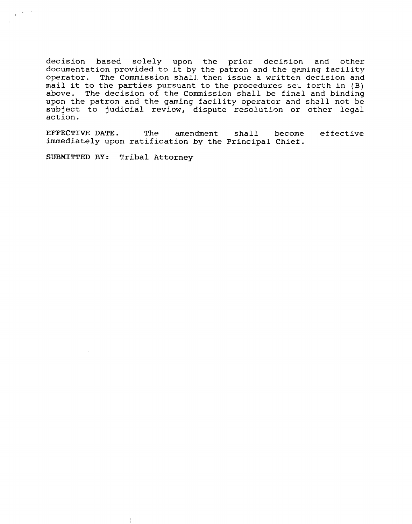decision based solely upon the prior decision and other documentation provided to it by the patron and the gaming facility operator. The Commission shall. then issue **6** written decision and  $mail$  it to the parties pursuant to the procedures set forth in (B) above. The decision of the Commission shall be finzl and binding upon the patron and the gaming facility operator and shall not be subject to judicial review, dispute resolution or other legal action.

EFFECTIVE DATE. The amendment shall becone effective immediately upon ratification by the Principal Chief.

SUBMITTED BY: Tribal Attorney

 $\Delta\phi=0.1$  $\sim$